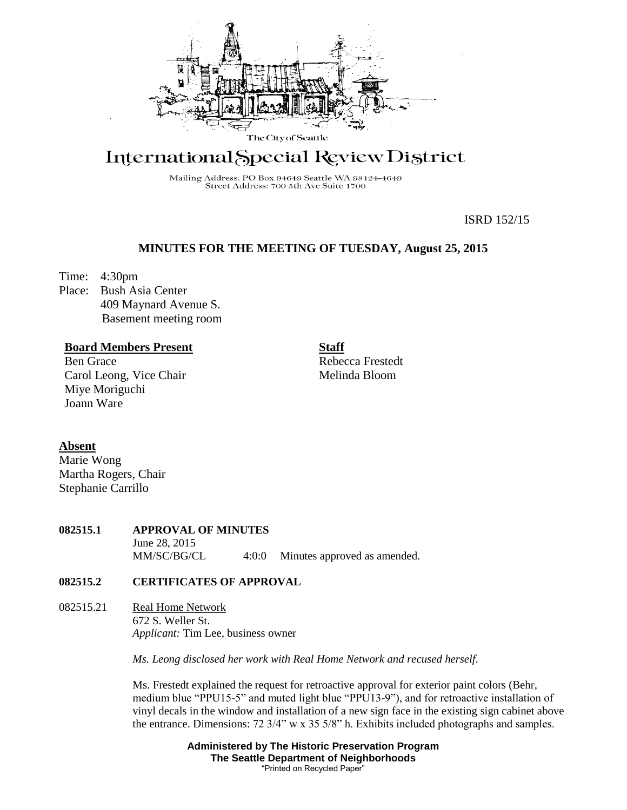

# International Special Review District

Mailing Address: PO Box 94649 Seattle WA 98124-4649 Street Address: 700 5th Ave Suite 1700

ISRD 152/15

# **MINUTES FOR THE MEETING OF TUESDAY, August 25, 2015**

Time: 4:30pm

Place: Bush Asia Center 409 Maynard Avenue S. Basement meeting room

## **Board Members Present**

Ben Grace Carol Leong, Vice Chair Miye Moriguchi Joann Ware

Rebecca Frestedt Melinda Bloom

**Staff**

## **Absent**

Marie Wong Martha Rogers, Chair Stephanie Carrillo

# **082515.1 APPROVAL OF MINUTES**

June 28, 2015 MM/SC/BG/CL 4:0:0 Minutes approved as amended.

## **082515.2 CERTIFICATES OF APPROVAL**

082515.21 Real Home Network 672 S. Weller St. *Applicant:* Tim Lee, business owner

*Ms. Leong disclosed her work with Real Home Network and recused herself.*

Ms. Frestedt explained the request for retroactive approval for exterior paint colors (Behr, medium blue "PPU15-5" and muted light blue "PPU13-9"), and for retroactive installation of vinyl decals in the window and installation of a new sign face in the existing sign cabinet above the entrance. Dimensions: 72 3/4" w x 35 5/8" h. Exhibits included photographs and samples.

> **Administered by The Historic Preservation Program The Seattle Department of Neighborhoods** "Printed on Recycled Paper"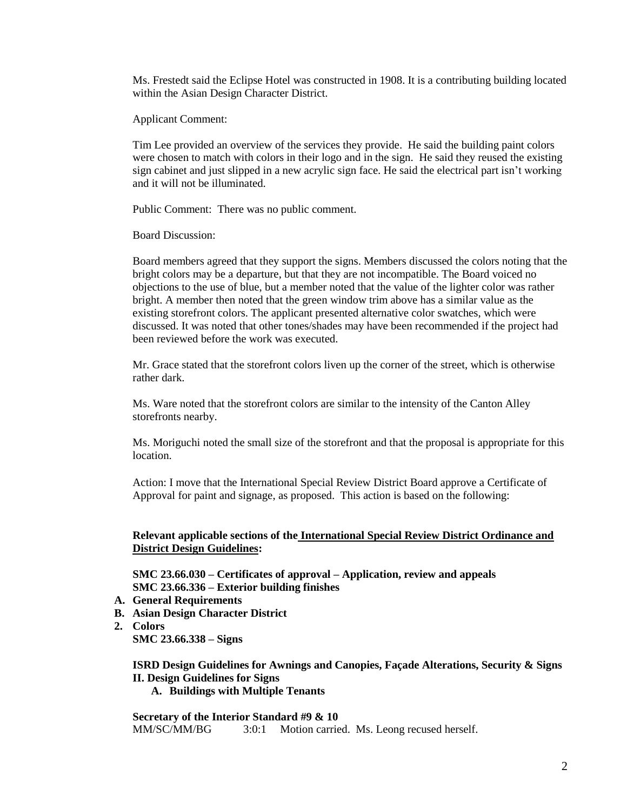Ms. Frestedt said the Eclipse Hotel was constructed in 1908. It is a contributing building located within the Asian Design Character District.

Applicant Comment:

Tim Lee provided an overview of the services they provide. He said the building paint colors were chosen to match with colors in their logo and in the sign. He said they reused the existing sign cabinet and just slipped in a new acrylic sign face. He said the electrical part isn't working and it will not be illuminated.

Public Comment: There was no public comment.

Board Discussion:

Board members agreed that they support the signs. Members discussed the colors noting that the bright colors may be a departure, but that they are not incompatible. The Board voiced no objections to the use of blue, but a member noted that the value of the lighter color was rather bright. A member then noted that the green window trim above has a similar value as the existing storefront colors. The applicant presented alternative color swatches, which were discussed. It was noted that other tones/shades may have been recommended if the project had been reviewed before the work was executed.

Mr. Grace stated that the storefront colors liven up the corner of the street, which is otherwise rather dark.

Ms. Ware noted that the storefront colors are similar to the intensity of the Canton Alley storefronts nearby.

Ms. Moriguchi noted the small size of the storefront and that the proposal is appropriate for this location.

Action: I move that the International Special Review District Board approve a Certificate of Approval for paint and signage, as proposed. This action is based on the following:

## **Relevant applicable sections of the International Special Review District Ordinance and District Design Guidelines:**

**SMC 23.66.030 – Certificates of approval – Application, review and appeals SMC 23.66.336 – Exterior building finishes**

- **A. General Requirements**
- **B. Asian Design Character District**
- **2. Colors**

**SMC 23.66.338 – Signs**

**ISRD Design Guidelines for Awnings and Canopies, Façade Alterations, Security & Signs II. Design Guidelines for Signs**

**A. Buildings with Multiple Tenants** 

**Secretary of the Interior Standard #9 & 10** MM/SC/MM/BG 3:0:1 Motion carried. Ms. Leong recused herself.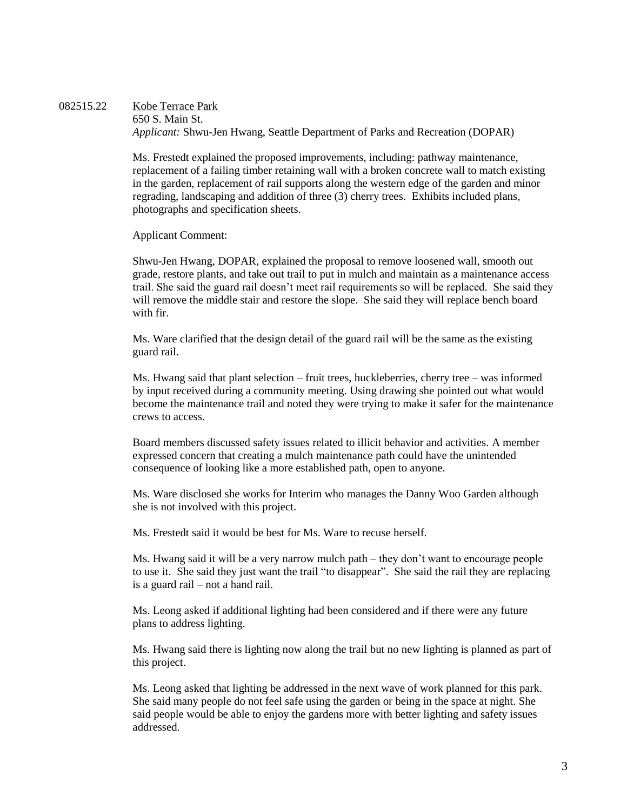082515.22 Kobe Terrace Park 650 S. Main St. *Applicant:* Shwu-Jen Hwang, Seattle Department of Parks and Recreation (DOPAR)

> Ms. Frestedt explained the proposed improvements, including: pathway maintenance, replacement of a failing timber retaining wall with a broken concrete wall to match existing in the garden, replacement of rail supports along the western edge of the garden and minor regrading, landscaping and addition of three (3) cherry trees. Exhibits included plans, photographs and specification sheets.

Applicant Comment:

Shwu-Jen Hwang, DOPAR, explained the proposal to remove loosened wall, smooth out grade, restore plants, and take out trail to put in mulch and maintain as a maintenance access trail. She said the guard rail doesn't meet rail requirements so will be replaced. She said they will remove the middle stair and restore the slope. She said they will replace bench board with fir.

Ms. Ware clarified that the design detail of the guard rail will be the same as the existing guard rail.

Ms. Hwang said that plant selection – fruit trees, huckleberries, cherry tree – was informed by input received during a community meeting. Using drawing she pointed out what would become the maintenance trail and noted they were trying to make it safer for the maintenance crews to access.

Board members discussed safety issues related to illicit behavior and activities. A member expressed concern that creating a mulch maintenance path could have the unintended consequence of looking like a more established path, open to anyone.

Ms. Ware disclosed she works for Interim who manages the Danny Woo Garden although she is not involved with this project.

Ms. Frestedt said it would be best for Ms. Ware to recuse herself.

Ms. Hwang said it will be a very narrow mulch path – they don't want to encourage people to use it. She said they just want the trail "to disappear". She said the rail they are replacing is a guard rail – not a hand rail.

Ms. Leong asked if additional lighting had been considered and if there were any future plans to address lighting.

Ms. Hwang said there is lighting now along the trail but no new lighting is planned as part of this project.

Ms. Leong asked that lighting be addressed in the next wave of work planned for this park. She said many people do not feel safe using the garden or being in the space at night. She said people would be able to enjoy the gardens more with better lighting and safety issues addressed.